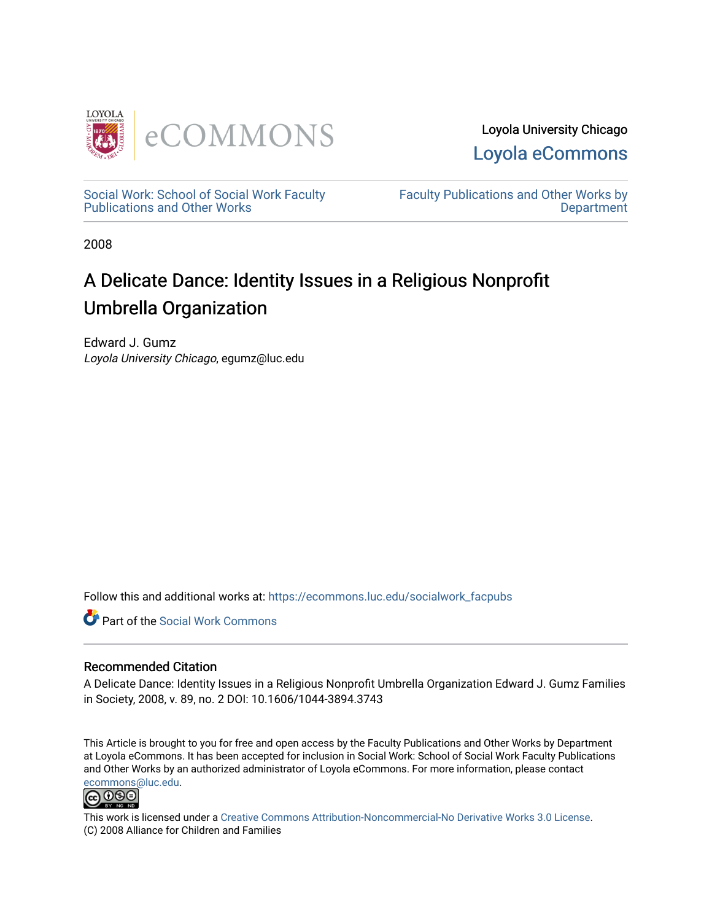

Loyola University Chicago [Loyola eCommons](https://ecommons.luc.edu/) 

[Social Work: School of Social Work Faculty](https://ecommons.luc.edu/socialwork_facpubs)  [Publications and Other Works](https://ecommons.luc.edu/socialwork_facpubs) 

[Faculty Publications and Other Works by](https://ecommons.luc.edu/faculty)  **Department** 

2008

# A Delicate Dance: Identity Issues in a Religious Nonprofit Umbrella Organization

Edward J. Gumz Loyola University Chicago, egumz@luc.edu

Follow this and additional works at: [https://ecommons.luc.edu/socialwork\\_facpubs](https://ecommons.luc.edu/socialwork_facpubs?utm_source=ecommons.luc.edu%2Fsocialwork_facpubs%2F6&utm_medium=PDF&utm_campaign=PDFCoverPages) 

Part of the [Social Work Commons](http://network.bepress.com/hgg/discipline/713?utm_source=ecommons.luc.edu%2Fsocialwork_facpubs%2F6&utm_medium=PDF&utm_campaign=PDFCoverPages)

# Recommended Citation

A Delicate Dance: Identity Issues in a Religious Nonprofit Umbrella Organization Edward J. Gumz Families in Society, 2008, v. 89, no. 2 DOI: 10.1606/1044-3894.3743

This Article is brought to you for free and open access by the Faculty Publications and Other Works by Department at Loyola eCommons. It has been accepted for inclusion in Social Work: School of Social Work Faculty Publications and Other Works by an authorized administrator of Loyola eCommons. For more information, please contact [ecommons@luc.edu](mailto:ecommons@luc.edu).



This work is licensed under a [Creative Commons Attribution-Noncommercial-No Derivative Works 3.0 License.](https://creativecommons.org/licenses/by-nc-nd/3.0/) (C) 2008 Alliance for Children and Families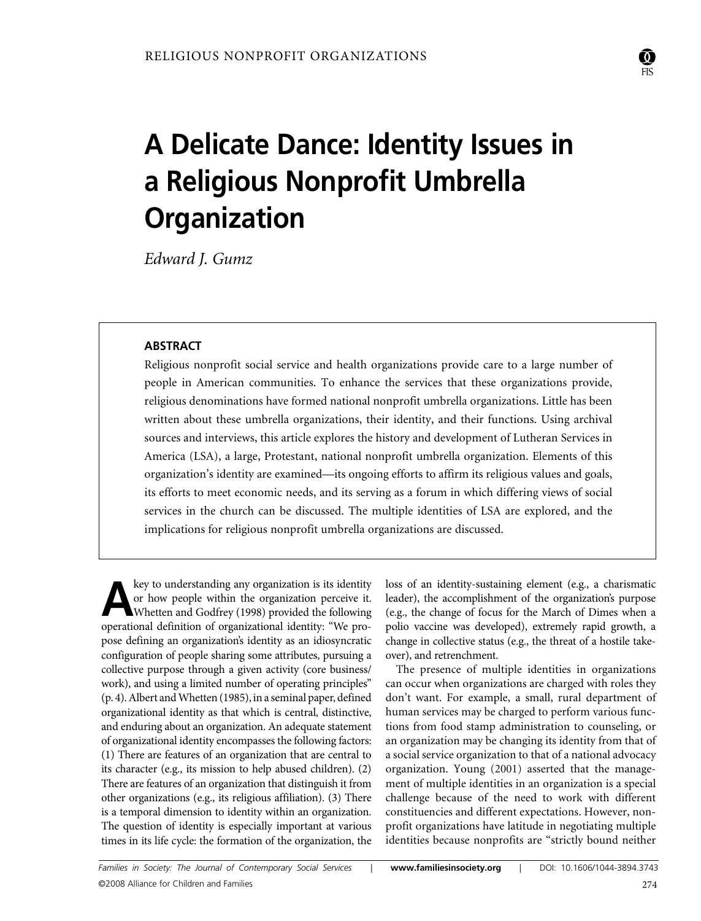# **A Delicate Dance: Identity Issues in a Religious Nonprofit Umbrella Organization**

*Edward J. Gumz*

# **ABSTRACT**

Religious nonprofit social service and health organizations provide care to a large number of people in American communities. To enhance the services that these organizations provide, religious denominations have formed national nonprofit umbrella organizations. Little has been written about these umbrella organizations, their identity, and their functions. Using archival sources and interviews, this article explores the history and development of Lutheran Services in America (LSA), a large, Protestant, national nonprofit umbrella organization. Elements of this organization's identity are examined—its ongoing efforts to affirm its religious values and goals, its efforts to meet economic needs, and its serving as a forum in which differing views of social services in the church can be discussed. The multiple identities of LSA are explored, and the implications for religious nonprofit umbrella organizations are discussed.

key to understanding any organization is its identity<br>or how people within the organization perceive it.<br>Whetten and Godfrey (1998) provided the following or how people within the organization perceive it. Whetten and Godfrey (1998) provided the following operational definition of organizational identity: "We propose defining an organization's identity as an idiosyncratic configuration of people sharing some attributes, pursuing a collective purpose through a given activity (core business/ work), and using a limited number of operating principles" (p. 4). Albert and Whetten (1985), in a seminal paper, defined organizational identity as that which is central, distinctive, and enduring about an organization. An adequate statement of organizational identity encompasses the following factors: (1) There are features of an organization that are central to its character (e.g., its mission to help abused children). (2) There are features of an organization that distinguish it from other organizations (e.g., its religious affiliation). (3) There is a temporal dimension to identity within an organization. The question of identity is especially important at various times in its life cycle: the formation of the organization, the

loss of an identity-sustaining element (e.g., a charismatic leader), the accomplishment of the organization's purpose (e.g., the change of focus for the March of Dimes when a polio vaccine was developed), extremely rapid growth, a change in collective status (e.g., the threat of a hostile takeover), and retrenchment.

The presence of multiple identities in organizations can occur when organizations are charged with roles they don't want. For example, a small, rural department of human services may be charged to perform various functions from food stamp administration to counseling, or an organization may be changing its identity from that of a social service organization to that of a national advocacy organization. Young (2001) asserted that the management of multiple identities in an organization is a special challenge because of the need to work with different constituencies and different expectations. However, nonprofit organizations have latitude in negotiating multiple identities because nonprofits are "strictly bound neither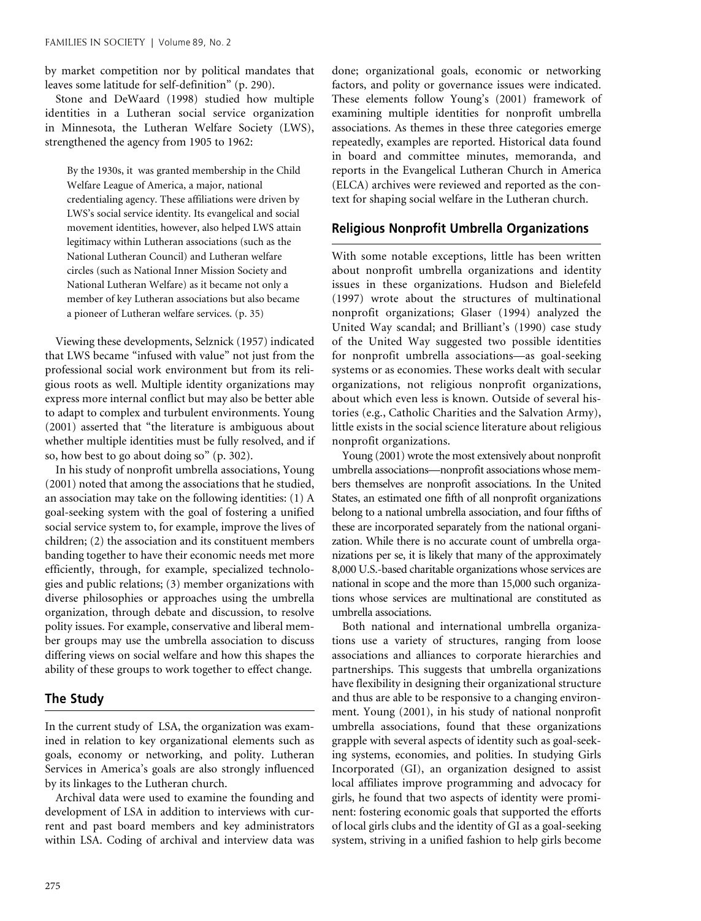by market competition nor by political mandates that leaves some latitude for self-definition" (p. 290).

Stone and DeWaard (1998) studied how multiple identities in a Lutheran social service organization in Minnesota, the Lutheran Welfare Society (LWS), strengthened the agency from 1905 to 1962:

By the 1930s, it was granted membership in the Child Welfare League of America, a major, national credentialing agency. These affiliations were driven by LWS's social service identity. Its evangelical and social movement identities, however, also helped LWS attain legitimacy within Lutheran associations (such as the National Lutheran Council) and Lutheran welfare circles (such as National Inner Mission Society and National Lutheran Welfare) as it became not only a member of key Lutheran associations but also became a pioneer of Lutheran welfare services. (p. 35)

Viewing these developments, Selznick (1957) indicated that LWS became "infused with value" not just from the professional social work environment but from its religious roots as well. Multiple identity organizations may express more internal conflict but may also be better able to adapt to complex and turbulent environments. Young (2001) asserted that "the literature is ambiguous about whether multiple identities must be fully resolved, and if so, how best to go about doing so" (p. 302).

In his study of nonprofit umbrella associations, Young (2001) noted that among the associations that he studied, an association may take on the following identities: (1) A goal-seeking system with the goal of fostering a unified social service system to, for example, improve the lives of children; (2) the association and its constituent members banding together to have their economic needs met more efficiently, through, for example, specialized technologies and public relations; (3) member organizations with diverse philosophies or approaches using the umbrella organization, through debate and discussion, to resolve polity issues. For example, conservative and liberal member groups may use the umbrella association to discuss differing views on social welfare and how this shapes the ability of these groups to work together to effect change.

# **The Study**

In the current study of LSA, the organization was examined in relation to key organizational elements such as goals, economy or networking, and polity. Lutheran Services in America's goals are also strongly influenced by its linkages to the Lutheran church.

Archival data were used to examine the founding and development of LSA in addition to interviews with current and past board members and key administrators within LSA. Coding of archival and interview data was done; organizational goals, economic or networking factors, and polity or governance issues were indicated. These elements follow Young's (2001) framework of examining multiple identities for nonprofit umbrella associations. As themes in these three categories emerge repeatedly, examples are reported. Historical data found in board and committee minutes, memoranda, and reports in the Evangelical Lutheran Church in America (ELCA) archives were reviewed and reported as the context for shaping social welfare in the Lutheran church.

# **Religious Nonprofit Umbrella Organizations**

With some notable exceptions, little has been written about nonprofit umbrella organizations and identity issues in these organizations. Hudson and Bielefeld (1997) wrote about the structures of multinational nonprofit organizations; Glaser (1994) analyzed the United Way scandal; and Brilliant's (1990) case study of the United Way suggested two possible identities for nonprofit umbrella associations—as goal-seeking systems or as economies. These works dealt with secular organizations, not religious nonprofit organizations, about which even less is known. Outside of several histories (e.g., Catholic Charities and the Salvation Army), little exists in the social science literature about religious nonprofit organizations.

Young (2001) wrote the most extensively about nonprofit umbrella associations—nonprofit associations whose members themselves are nonprofit associations. In the United States, an estimated one fifth of all nonprofit organizations belong to a national umbrella association, and four fifths of these are incorporated separately from the national organization. While there is no accurate count of umbrella organizations per se, it is likely that many of the approximately 8,000 U.S.-based charitable organizations whose services are national in scope and the more than 15,000 such organizations whose services are multinational are constituted as umbrella associations.

Both national and international umbrella organizations use a variety of structures, ranging from loose associations and alliances to corporate hierarchies and partnerships. This suggests that umbrella organizations have flexibility in designing their organizational structure and thus are able to be responsive to a changing environment. Young (2001), in his study of national nonprofit umbrella associations, found that these organizations grapple with several aspects of identity such as goal-seeking systems, economies, and polities. In studying Girls Incorporated (GI), an organization designed to assist local affiliates improve programming and advocacy for girls, he found that two aspects of identity were prominent: fostering economic goals that supported the efforts of local girls clubs and the identity of GI as a goal-seeking system, striving in a unified fashion to help girls become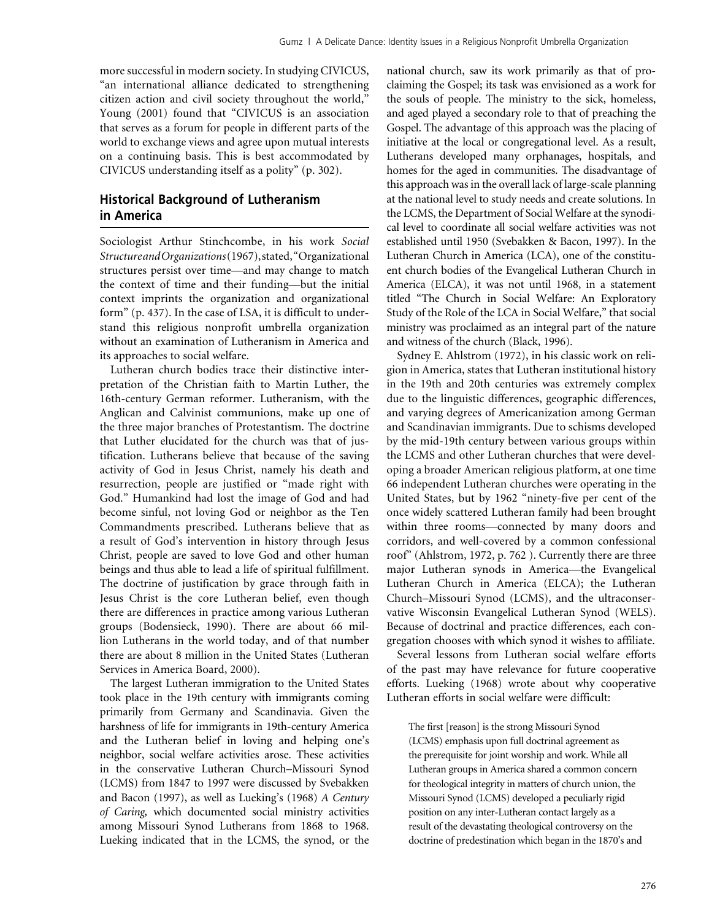more successful in modern society. In studying CIVICUS, "an international alliance dedicated to strengthening citizen action and civil society throughout the world," Young (2001) found that "CIVICUS is an association that serves as a forum for people in different parts of the world to exchange views and agree upon mutual interests on a continuing basis. This is best accommodated by CIVICUS understanding itself as a polity" (p. 302).

# **Historical Background of Lutheranism in America**

Sociologist Arthur Stinchcombe, in his work *Social Structure and Organizations* (1967), stated, "Organizational structures persist over time—and may change to match the context of time and their funding—but the initial context imprints the organization and organizational form" (p. 437). In the case of LSA, it is difficult to understand this religious nonprofit umbrella organization without an examination of Lutheranism in America and its approaches to social welfare.

Lutheran church bodies trace their distinctive interpretation of the Christian faith to Martin Luther, the 16th-century German reformer. Lutheranism, with the Anglican and Calvinist communions, make up one of the three major branches of Protestantism. The doctrine that Luther elucidated for the church was that of justification. Lutherans believe that because of the saving activity of God in Jesus Christ, namely his death and resurrection, people are justified or "made right with God." Humankind had lost the image of God and had become sinful, not loving God or neighbor as the Ten Commandments prescribed. Lutherans believe that as a result of God's intervention in history through Jesus Christ, people are saved to love God and other human beings and thus able to lead a life of spiritual fulfillment. The doctrine of justification by grace through faith in Jesus Christ is the core Lutheran belief, even though there are differences in practice among various Lutheran groups (Bodensieck, 1990). There are about 66 million Lutherans in the world today, and of that number there are about 8 million in the United States (Lutheran Services in America Board, 2000).

The largest Lutheran immigration to the United States took place in the 19th century with immigrants coming primarily from Germany and Scandinavia. Given the harshness of life for immigrants in 19th-century America and the Lutheran belief in loving and helping one's neighbor, social welfare activities arose. These activities in the conservative Lutheran Church–Missouri Synod (LCMS) from 1847 to 1997 were discussed by Svebakken and Bacon (1997), as well as Lueking's (1968) *A Century of Caring,* which documented social ministry activities among Missouri Synod Lutherans from 1868 to 1968. Lueking indicated that in the LCMS, the synod, or the

national church, saw its work primarily as that of proclaiming the Gospel; its task was envisioned as a work for the souls of people. The ministry to the sick, homeless, and aged played a secondary role to that of preaching the Gospel. The advantage of this approach was the placing of initiative at the local or congregational level. As a result, Lutherans developed many orphanages, hospitals, and homes for the aged in communities. The disadvantage of this approach was in the overall lack of large-scale planning at the national level to study needs and create solutions. In the LCMS, the Department of Social Welfare at the synodical level to coordinate all social welfare activities was not established until 1950 (Svebakken & Bacon, 1997). In the Lutheran Church in America (LCA), one of the constituent church bodies of the Evangelical Lutheran Church in America (ELCA), it was not until 1968, in a statement titled "The Church in Social Welfare: An Exploratory Study of the Role of the LCA in Social Welfare," that social ministry was proclaimed as an integral part of the nature and witness of the church (Black, 1996).

Sydney E. Ahlstrom (1972), in his classic work on religion in America, states that Lutheran institutional history in the 19th and 20th centuries was extremely complex due to the linguistic differences, geographic differences, and varying degrees of Americanization among German and Scandinavian immigrants. Due to schisms developed by the mid-19th century between various groups within the LCMS and other Lutheran churches that were developing a broader American religious platform, at one time 66 independent Lutheran churches were operating in the United States, but by 1962 "ninety-five per cent of the once widely scattered Lutheran family had been brought within three rooms—connected by many doors and corridors, and well-covered by a common confessional roof" (Ahlstrom, 1972, p. 762 ). Currently there are three major Lutheran synods in America—the Evangelical Lutheran Church in America (ELCA); the Lutheran Church–Missouri Synod (LCMS), and the ultraconservative Wisconsin Evangelical Lutheran Synod (WELS). Because of doctrinal and practice differences, each congregation chooses with which synod it wishes to affiliate.

Several lessons from Lutheran social welfare efforts of the past may have relevance for future cooperative efforts. Lueking (1968) wrote about why cooperative Lutheran efforts in social welfare were difficult:

The first [reason] is the strong Missouri Synod (LCMS) emphasis upon full doctrinal agreement as the prerequisite for joint worship and work. While all Lutheran groups in America shared a common concern for theological integrity in matters of church union, the Missouri Synod (LCMS) developed a peculiarly rigid position on any inter-Lutheran contact largely as a result of the devastating theological controversy on the doctrine of predestination which began in the 1870's and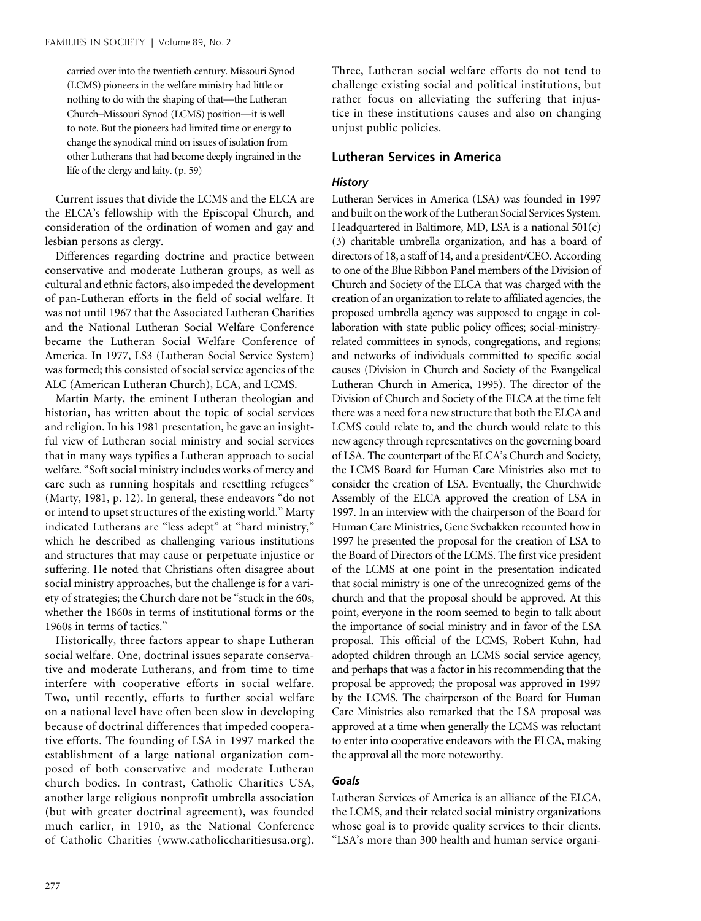carried over into the twentieth century. Missouri Synod (LCMS) pioneers in the welfare ministry had little or nothing to do with the shaping of that—the Lutheran Church–Missouri Synod (LCMS) position—it is well to note. But the pioneers had limited time or energy to change the synodical mind on issues of isolation from other Lutherans that had become deeply ingrained in the life of the clergy and laity. (p. 59)

Current issues that divide the LCMS and the ELCA are the ELCA's fellowship with the Episcopal Church, and consideration of the ordination of women and gay and lesbian persons as clergy.

Differences regarding doctrine and practice between conservative and moderate Lutheran groups, as well as cultural and ethnic factors, also impeded the development of pan-Lutheran efforts in the field of social welfare. It was not until 1967 that the Associated Lutheran Charities and the National Lutheran Social Welfare Conference became the Lutheran Social Welfare Conference of America. In 1977, LS3 (Lutheran Social Service System) was formed; this consisted of social service agencies of the ALC (American Lutheran Church), LCA, and LCMS.

Martin Marty, the eminent Lutheran theologian and historian, has written about the topic of social services and religion. In his 1981 presentation, he gave an insightful view of Lutheran social ministry and social services that in many ways typifies a Lutheran approach to social welfare. "Soft social ministry includes works of mercy and care such as running hospitals and resettling refugees" (Marty, 1981, p. 12). In general, these endeavors "do not or intend to upset structures of the existing world." Marty indicated Lutherans are "less adept" at "hard ministry," which he described as challenging various institutions and structures that may cause or perpetuate injustice or suffering. He noted that Christians often disagree about social ministry approaches, but the challenge is for a variety of strategies; the Church dare not be "stuck in the 60s, whether the 1860s in terms of institutional forms or the 1960s in terms of tactics."

Historically, three factors appear to shape Lutheran social welfare. One, doctrinal issues separate conservative and moderate Lutherans, and from time to time interfere with cooperative efforts in social welfare. Two, until recently, efforts to further social welfare on a national level have often been slow in developing because of doctrinal differences that impeded cooperative efforts. The founding of LSA in 1997 marked the establishment of a large national organization composed of both conservative and moderate Lutheran church bodies. In contrast, Catholic Charities USA, another large religious nonprofit umbrella association (but with greater doctrinal agreement), was founded much earlier, in 1910, as the National Conference of Catholic Charities (www.catholiccharitiesusa.org).

Three, Lutheran social welfare efforts do not tend to challenge existing social and political institutions, but rather focus on alleviating the suffering that injustice in these institutions causes and also on changing unjust public policies.

#### **Lutheran Services in America**

#### *History*

Lutheran Services in America (LSA) was founded in 1997 and built on the work of the Lutheran Social Services System. Headquartered in Baltimore, MD, LSA is a national 501(c) (3) charitable umbrella organization, and has a board of directors of 18, a staff of 14, and a president/CEO. According to one of the Blue Ribbon Panel members of the Division of Church and Society of the ELCA that was charged with the creation of an organization to relate to affiliated agencies, the proposed umbrella agency was supposed to engage in collaboration with state public policy offices; social-ministryrelated committees in synods, congregations, and regions; and networks of individuals committed to specific social causes (Division in Church and Society of the Evangelical Lutheran Church in America, 1995). The director of the Division of Church and Society of the ELCA at the time felt there was a need for a new structure that both the ELCA and LCMS could relate to, and the church would relate to this new agency through representatives on the governing board of LSA. The counterpart of the ELCA's Church and Society, the LCMS Board for Human Care Ministries also met to consider the creation of LSA. Eventually, the Churchwide Assembly of the ELCA approved the creation of LSA in 1997. In an interview with the chairperson of the Board for Human Care Ministries, Gene Svebakken recounted how in 1997 he presented the proposal for the creation of LSA to the Board of Directors of the LCMS. The first vice president of the LCMS at one point in the presentation indicated that social ministry is one of the unrecognized gems of the church and that the proposal should be approved. At this point, everyone in the room seemed to begin to talk about the importance of social ministry and in favor of the LSA proposal. This official of the LCMS, Robert Kuhn, had adopted children through an LCMS social service agency, and perhaps that was a factor in his recommending that the proposal be approved; the proposal was approved in 1997 by the LCMS. The chairperson of the Board for Human Care Ministries also remarked that the LSA proposal was approved at a time when generally the LCMS was reluctant to enter into cooperative endeavors with the ELCA, making the approval all the more noteworthy.

#### *Goals*

Lutheran Services of America is an alliance of the ELCA, the LCMS, and their related social ministry organizations whose goal is to provide quality services to their clients. "LSA's more than 300 health and human service organi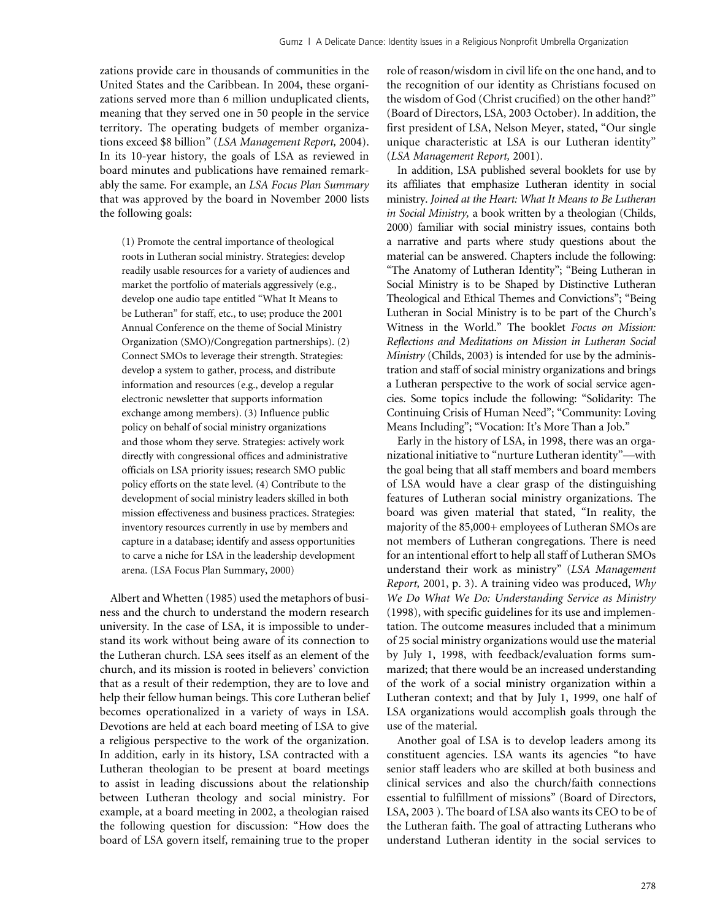zations provide care in thousands of communities in the United States and the Caribbean. In 2004, these organizations served more than 6 million unduplicated clients, meaning that they served one in 50 people in the service territory. The operating budgets of member organizations exceed \$8 billion" (*LSA Management Report,* 2004). In its 10-year history, the goals of LSA as reviewed in board minutes and publications have remained remarkably the same. For example, an *LSA Focus Plan Summary*  that was approved by the board in November 2000 lists the following goals:

(1) Promote the central importance of theological roots in Lutheran social ministry. Strategies: develop readily usable resources for a variety of audiences and market the portfolio of materials aggressively (e.g., develop one audio tape entitled "What It Means to be Lutheran" for staff, etc., to use; produce the 2001 Annual Conference on the theme of Social Ministry Organization (SMO)/Congregation partnerships). (2) Connect SMOs to leverage their strength. Strategies: develop a system to gather, process, and distribute information and resources (e.g., develop a regular electronic newsletter that supports information exchange among members). (3) Influence public policy on behalf of social ministry organizations and those whom they serve. Strategies: actively work directly with congressional offices and administrative officials on LSA priority issues; research SMO public policy efforts on the state level. (4) Contribute to the development of social ministry leaders skilled in both mission effectiveness and business practices. Strategies: inventory resources currently in use by members and capture in a database; identify and assess opportunities to carve a niche for LSA in the leadership development arena. (LSA Focus Plan Summary, 2000)

Albert and Whetten (1985) used the metaphors of business and the church to understand the modern research university. In the case of LSA, it is impossible to understand its work without being aware of its connection to the Lutheran church. LSA sees itself as an element of the church, and its mission is rooted in believers' conviction that as a result of their redemption, they are to love and help their fellow human beings. This core Lutheran belief becomes operationalized in a variety of ways in LSA. Devotions are held at each board meeting of LSA to give a religious perspective to the work of the organization. In addition, early in its history, LSA contracted with a Lutheran theologian to be present at board meetings to assist in leading discussions about the relationship between Lutheran theology and social ministry. For example, at a board meeting in 2002, a theologian raised the following question for discussion: "How does the board of LSA govern itself, remaining true to the proper

role of reason/wisdom in civil life on the one hand, and to the recognition of our identity as Christians focused on the wisdom of God (Christ crucified) on the other hand?" (Board of Directors, LSA, 2003 October). In addition, the first president of LSA, Nelson Meyer, stated, "Our single unique characteristic at LSA is our Lutheran identity" (*LSA Management Report,* 2001).

In addition, LSA published several booklets for use by its affiliates that emphasize Lutheran identity in social ministry. *Joined at the Heart: What It Means to Be Lutheran in Social Ministry,* a book written by a theologian (Childs, 2000) familiar with social ministry issues, contains both a narrative and parts where study questions about the material can be answered. Chapters include the following: "The Anatomy of Lutheran Identity"; "Being Lutheran in Social Ministry is to be Shaped by Distinctive Lutheran Theological and Ethical Themes and Convictions"; "Being Lutheran in Social Ministry is to be part of the Church's Witness in the World." The booklet *Focus on Mission: Reflections and Meditations on Mission in Lutheran Social Ministry* (Childs, 2003) is intended for use by the administration and staff of social ministry organizations and brings a Lutheran perspective to the work of social service agencies. Some topics include the following: "Solidarity: The Continuing Crisis of Human Need"; "Community: Loving Means Including"; "Vocation: It's More Than a Job."

Early in the history of LSA, in 1998, there was an organizational initiative to "nurture Lutheran identity"—with the goal being that all staff members and board members of LSA would have a clear grasp of the distinguishing features of Lutheran social ministry organizations. The board was given material that stated, "In reality, the majority of the 85,000+ employees of Lutheran SMOs are not members of Lutheran congregations. There is need for an intentional effort to help all staff of Lutheran SMOs understand their work as ministry" (*LSA Management Report,* 2001, p. 3). A training video was produced, *Why We Do What We Do: Understanding Service as Ministry* (1998), with specific guidelines for its use and implementation. The outcome measures included that a minimum of 25 social ministry organizations would use the material by July 1, 1998, with feedback/evaluation forms summarized; that there would be an increased understanding of the work of a social ministry organization within a Lutheran context; and that by July 1, 1999, one half of LSA organizations would accomplish goals through the use of the material.

Another goal of LSA is to develop leaders among its constituent agencies. LSA wants its agencies "to have senior staff leaders who are skilled at both business and clinical services and also the church/faith connections essential to fulfillment of missions" (Board of Directors, LSA, 2003 ). The board of LSA also wants its CEO to be of the Lutheran faith. The goal of attracting Lutherans who understand Lutheran identity in the social services to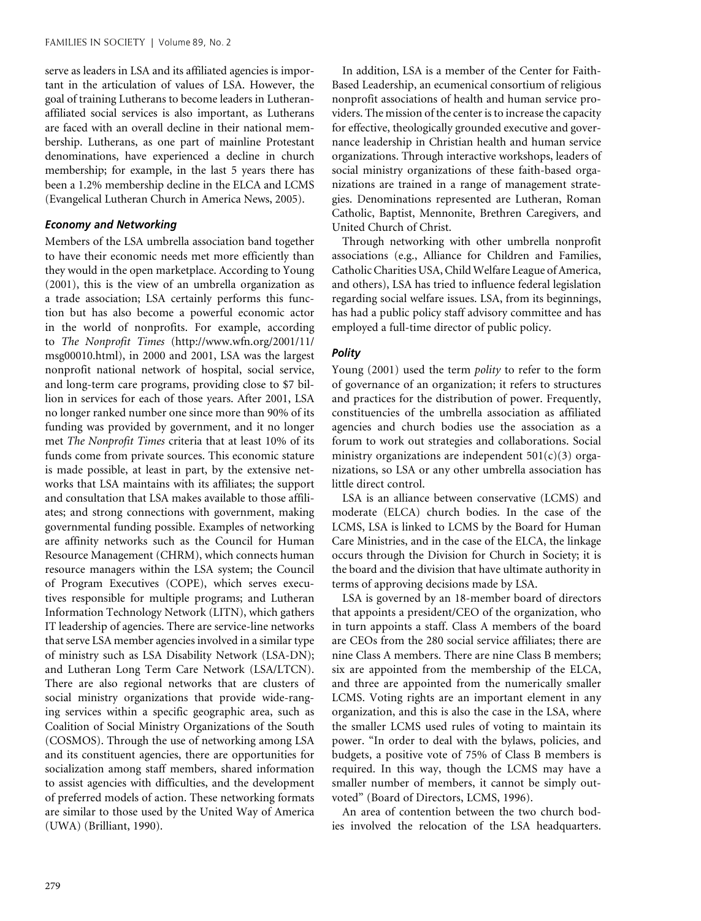serve as leaders in LSA and its affiliated agencies is important in the articulation of values of LSA. However, the goal of training Lutherans to become leaders in Lutheranaffiliated social services is also important, as Lutherans are faced with an overall decline in their national membership. Lutherans, as one part of mainline Protestant denominations, have experienced a decline in church membership; for example, in the last 5 years there has been a 1.2% membership decline in the ELCA and LCMS (Evangelical Lutheran Church in America News, 2005).

#### *Economy and Networking*

Members of the LSA umbrella association band together to have their economic needs met more efficiently than they would in the open marketplace. According to Young (2001), this is the view of an umbrella organization as a trade association; LSA certainly performs this function but has also become a powerful economic actor in the world of nonprofits. For example, according to *The Nonprofit Times* (http://www.wfn.org/2001/11/ msg00010.html), in 2000 and 2001, LSA was the largest nonprofit national network of hospital, social service, and long-term care programs, providing close to \$7 billion in services for each of those years. After 2001, LSA no longer ranked number one since more than 90% of its funding was provided by government, and it no longer met *The Nonprofit Times* criteria that at least 10% of its funds come from private sources. This economic stature is made possible, at least in part, by the extensive networks that LSA maintains with its affiliates; the support and consultation that LSA makes available to those affiliates; and strong connections with government, making governmental funding possible. Examples of networking are affinity networks such as the Council for Human Resource Management (CHRM), which connects human resource managers within the LSA system; the Council of Program Executives (COPE), which serves executives responsible for multiple programs; and Lutheran Information Technology Network (LITN), which gathers IT leadership of agencies. There are service-line networks that serve LSA member agencies involved in a similar type of ministry such as LSA Disability Network (LSA-DN); and Lutheran Long Term Care Network (LSA/LTCN). There are also regional networks that are clusters of social ministry organizations that provide wide-ranging services within a specific geographic area, such as Coalition of Social Ministry Organizations of the South (COSMOS). Through the use of networking among LSA and its constituent agencies, there are opportunities for socialization among staff members, shared information to assist agencies with difficulties, and the development of preferred models of action. These networking formats are similar to those used by the United Way of America (UWA) (Brilliant, 1990).

In addition, LSA is a member of the Center for Faith-Based Leadership, an ecumenical consortium of religious nonprofit associations of health and human service providers. The mission of the center is to increase the capacity for effective, theologically grounded executive and governance leadership in Christian health and human service organizations. Through interactive workshops, leaders of social ministry organizations of these faith-based organizations are trained in a range of management strategies. Denominations represented are Lutheran, Roman Catholic, Baptist, Mennonite, Brethren Caregivers, and United Church of Christ.

Through networking with other umbrella nonprofit associations (e.g., Alliance for Children and Families, Catholic Charities USA, Child Welfare League of America, and others), LSA has tried to influence federal legislation regarding social welfare issues. LSA, from its beginnings, has had a public policy staff advisory committee and has employed a full-time director of public policy.

#### *Polity*

Young (2001) used the term *polity* to refer to the form of governance of an organization; it refers to structures and practices for the distribution of power. Frequently, constituencies of the umbrella association as affiliated agencies and church bodies use the association as a forum to work out strategies and collaborations. Social ministry organizations are independent  $501(c)(3)$  organizations, so LSA or any other umbrella association has little direct control.

LSA is an alliance between conservative (LCMS) and moderate (ELCA) church bodies. In the case of the LCMS, LSA is linked to LCMS by the Board for Human Care Ministries, and in the case of the ELCA, the linkage occurs through the Division for Church in Society; it is the board and the division that have ultimate authority in terms of approving decisions made by LSA.

LSA is governed by an 18-member board of directors that appoints a president/CEO of the organization, who in turn appoints a staff. Class A members of the board are CEOs from the 280 social service affiliates; there are nine Class A members. There are nine Class B members; six are appointed from the membership of the ELCA, and three are appointed from the numerically smaller LCMS. Voting rights are an important element in any organization, and this is also the case in the LSA, where the smaller LCMS used rules of voting to maintain its power. "In order to deal with the bylaws, policies, and budgets, a positive vote of 75% of Class B members is required. In this way, though the LCMS may have a smaller number of members, it cannot be simply outvoted" (Board of Directors, LCMS, 1996).

An area of contention between the two church bodies involved the relocation of the LSA headquarters.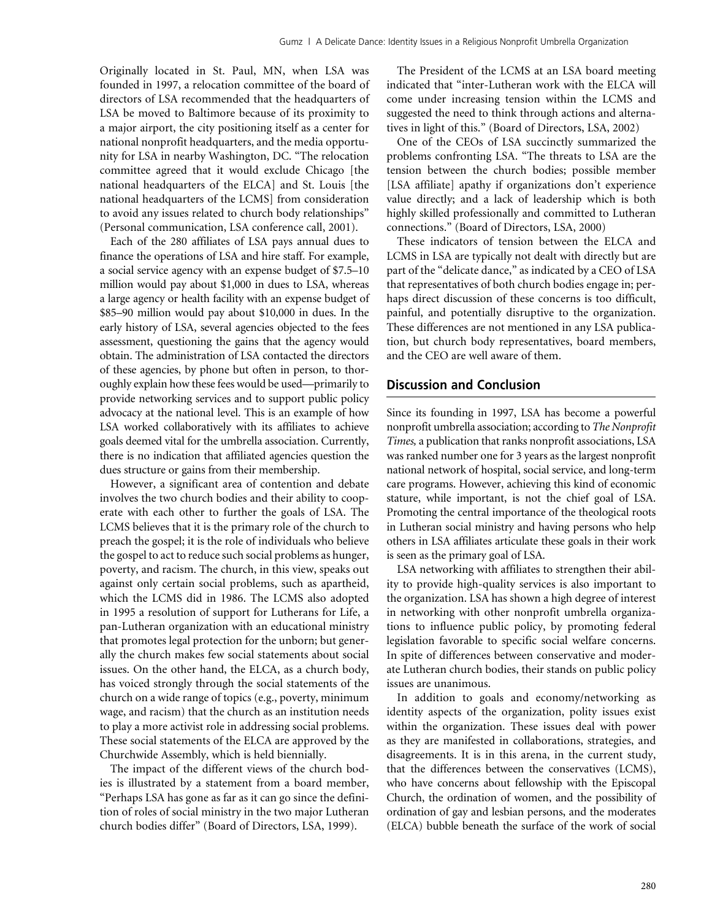Originally located in St. Paul, MN, when LSA was founded in 1997, a relocation committee of the board of directors of LSA recommended that the headquarters of LSA be moved to Baltimore because of its proximity to a major airport, the city positioning itself as a center for national nonprofit headquarters, and the media opportunity for LSA in nearby Washington, DC. "The relocation committee agreed that it would exclude Chicago [the national headquarters of the ELCA] and St. Louis [the national headquarters of the LCMS] from consideration to avoid any issues related to church body relationships" (Personal communication, LSA conference call, 2001).

Each of the 280 affiliates of LSA pays annual dues to finance the operations of LSA and hire staff. For example, a social service agency with an expense budget of \$7.5–10 million would pay about \$1,000 in dues to LSA, whereas a large agency or health facility with an expense budget of \$85–90 million would pay about \$10,000 in dues. In the early history of LSA, several agencies objected to the fees assessment, questioning the gains that the agency would obtain. The administration of LSA contacted the directors of these agencies, by phone but often in person, to thoroughly explain how these fees would be used—primarily to provide networking services and to support public policy advocacy at the national level. This is an example of how LSA worked collaboratively with its affiliates to achieve goals deemed vital for the umbrella association. Currently, there is no indication that affiliated agencies question the dues structure or gains from their membership.

However, a significant area of contention and debate involves the two church bodies and their ability to cooperate with each other to further the goals of LSA. The LCMS believes that it is the primary role of the church to preach the gospel; it is the role of individuals who believe the gospel to act to reduce such social problems as hunger, poverty, and racism. The church, in this view, speaks out against only certain social problems, such as apartheid, which the LCMS did in 1986. The LCMS also adopted in 1995 a resolution of support for Lutherans for Life, a pan-Lutheran organization with an educational ministry that promotes legal protection for the unborn; but generally the church makes few social statements about social issues. On the other hand, the ELCA, as a church body, has voiced strongly through the social statements of the church on a wide range of topics (e.g., poverty, minimum wage, and racism) that the church as an institution needs to play a more activist role in addressing social problems. These social statements of the ELCA are approved by the Churchwide Assembly, which is held biennially.

The impact of the different views of the church bodies is illustrated by a statement from a board member, "Perhaps LSA has gone as far as it can go since the definition of roles of social ministry in the two major Lutheran church bodies differ" (Board of Directors, LSA, 1999).

The President of the LCMS at an LSA board meeting indicated that "inter-Lutheran work with the ELCA will come under increasing tension within the LCMS and suggested the need to think through actions and alternatives in light of this." (Board of Directors, LSA, 2002)

One of the CEOs of LSA succinctly summarized the problems confronting LSA. "The threats to LSA are the tension between the church bodies; possible member [LSA affiliate] apathy if organizations don't experience value directly; and a lack of leadership which is both highly skilled professionally and committed to Lutheran connections." (Board of Directors, LSA, 2000)

These indicators of tension between the ELCA and LCMS in LSA are typically not dealt with directly but are part of the "delicate dance," as indicated by a CEO of LSA that representatives of both church bodies engage in; perhaps direct discussion of these concerns is too difficult, painful, and potentially disruptive to the organization. These differences are not mentioned in any LSA publication, but church body representatives, board members, and the CEO are well aware of them.

### **Discussion and Conclusion**

Since its founding in 1997, LSA has become a powerful nonprofit umbrella association; according to *The Nonprofit Times,* a publication that ranks nonprofit associations, LSA was ranked number one for 3 years as the largest nonprofit national network of hospital, social service, and long-term care programs. However, achieving this kind of economic stature, while important, is not the chief goal of LSA. Promoting the central importance of the theological roots in Lutheran social ministry and having persons who help others in LSA affiliates articulate these goals in their work is seen as the primary goal of LSA.

LSA networking with affiliates to strengthen their ability to provide high-quality services is also important to the organization. LSA has shown a high degree of interest in networking with other nonprofit umbrella organizations to influence public policy, by promoting federal legislation favorable to specific social welfare concerns. In spite of differences between conservative and moderate Lutheran church bodies, their stands on public policy issues are unanimous.

In addition to goals and economy/networking as identity aspects of the organization, polity issues exist within the organization. These issues deal with power as they are manifested in collaborations, strategies, and disagreements. It is in this arena, in the current study, that the differences between the conservatives (LCMS), who have concerns about fellowship with the Episcopal Church, the ordination of women, and the possibility of ordination of gay and lesbian persons, and the moderates (ELCA) bubble beneath the surface of the work of social